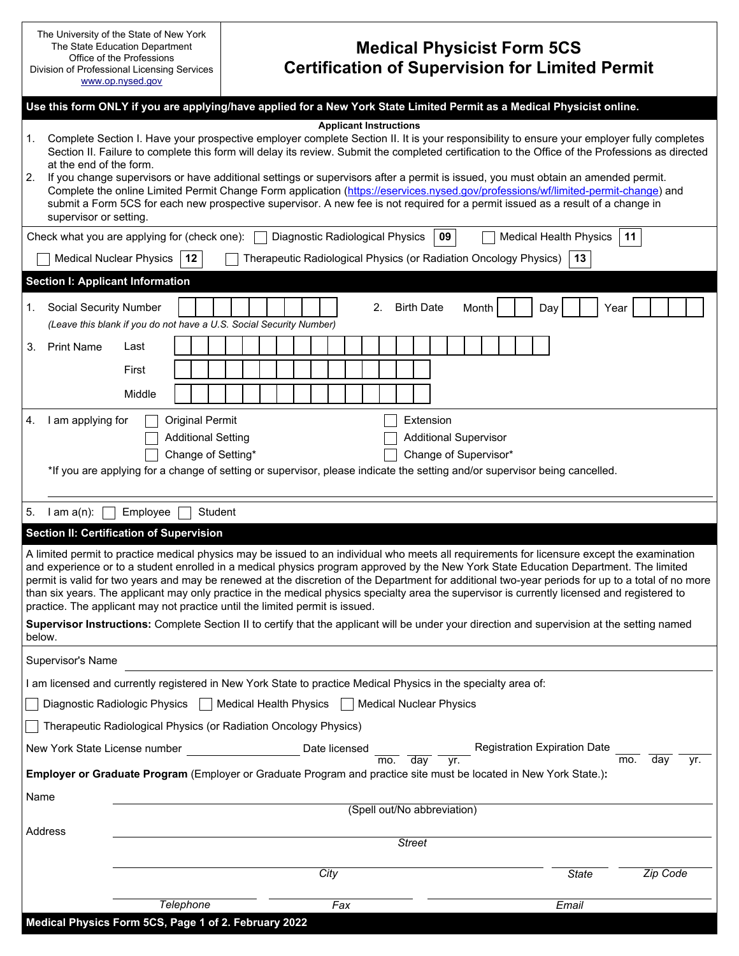| The University of the State of New York<br>The State Education Department<br>Office of the Professions<br>Division of Professional Licensing Services<br>www.op.nysed.gov |                                                                                                                                                                                                                                                                                                                                                                                                                                                                                                                                                                                         | <b>Medical Physicist Form 5CS</b><br><b>Certification of Supervision for Limited Permit</b>                                                       |  |  |
|---------------------------------------------------------------------------------------------------------------------------------------------------------------------------|-----------------------------------------------------------------------------------------------------------------------------------------------------------------------------------------------------------------------------------------------------------------------------------------------------------------------------------------------------------------------------------------------------------------------------------------------------------------------------------------------------------------------------------------------------------------------------------------|---------------------------------------------------------------------------------------------------------------------------------------------------|--|--|
|                                                                                                                                                                           | Use this form ONLY if you are applying/have applied for a New York State Limited Permit as a Medical Physicist online.                                                                                                                                                                                                                                                                                                                                                                                                                                                                  |                                                                                                                                                   |  |  |
| 1.<br>at the end of the form.<br>2.<br>supervisor or setting.                                                                                                             | <b>Applicant Instructions</b><br>Complete Section I. Have your prospective employer complete Section II. It is your responsibility to ensure your employer fully completes<br>If you change supervisors or have additional settings or supervisors after a permit is issued, you must obtain an amended permit.<br>Complete the online Limited Permit Change Form application (https://eservices.nysed.gov/professions/wf/limited-permit-change) and<br>submit a Form 5CS for each new prospective supervisor. A new fee is not required for a permit issued as a result of a change in | Section II. Failure to complete this form will delay its review. Submit the completed certification to the Office of the Professions as directed  |  |  |
| Check what you are applying for (check one):                                                                                                                              | Diagnostic Radiological Physics<br>09                                                                                                                                                                                                                                                                                                                                                                                                                                                                                                                                                   | 11<br><b>Medical Health Physics</b>                                                                                                               |  |  |
| <b>Medical Nuclear Physics</b><br>12                                                                                                                                      | Therapeutic Radiological Physics (or Radiation Oncology Physics)                                                                                                                                                                                                                                                                                                                                                                                                                                                                                                                        | 13                                                                                                                                                |  |  |
| Section I: Applicant Information                                                                                                                                          |                                                                                                                                                                                                                                                                                                                                                                                                                                                                                                                                                                                         |                                                                                                                                                   |  |  |
| <b>Social Security Number</b><br>1.<br>(Leave this blank if you do not have a U.S. Social Security Number)                                                                | 2.<br><b>Birth Date</b>                                                                                                                                                                                                                                                                                                                                                                                                                                                                                                                                                                 | Month<br>Day<br>Year                                                                                                                              |  |  |
| <b>Print Name</b><br>Last<br>3.<br>First                                                                                                                                  |                                                                                                                                                                                                                                                                                                                                                                                                                                                                                                                                                                                         |                                                                                                                                                   |  |  |
| Middle                                                                                                                                                                    |                                                                                                                                                                                                                                                                                                                                                                                                                                                                                                                                                                                         |                                                                                                                                                   |  |  |
| I am applying for<br><b>Original Permit</b><br><b>Additional Setting</b><br>Change of Setting*                                                                            | <b>Additional Supervisor</b><br>Change of Supervisor*<br>*If you are applying for a change of setting or supervisor, please indicate the setting and/or supervisor being cancelled.                                                                                                                                                                                                                                                                                                                                                                                                     |                                                                                                                                                   |  |  |
| $l$ am $a(n)$ :<br>Employee<br>5.                                                                                                                                         | Student                                                                                                                                                                                                                                                                                                                                                                                                                                                                                                                                                                                 |                                                                                                                                                   |  |  |
| Section II: Certification of Supervision                                                                                                                                  |                                                                                                                                                                                                                                                                                                                                                                                                                                                                                                                                                                                         |                                                                                                                                                   |  |  |
| practice. The applicant may not practice until the limited permit is issued.                                                                                              | A limited permit to practice medical physics may be issued to an individual who meets all requirements for licensure except the examination<br>and experience or to a student enrolled in a medical physics program approved by the New York State Education Department. The limited<br>than six years. The applicant may only practice in the medical physics specialty area the supervisor is currently licensed and registered to                                                                                                                                                    | permit is valid for two years and may be renewed at the discretion of the Department for additional two-year periods for up to a total of no more |  |  |
| below.                                                                                                                                                                    | Supervisor Instructions: Complete Section II to certify that the applicant will be under your direction and supervision at the setting named                                                                                                                                                                                                                                                                                                                                                                                                                                            |                                                                                                                                                   |  |  |
| Supervisor's Name                                                                                                                                                         |                                                                                                                                                                                                                                                                                                                                                                                                                                                                                                                                                                                         |                                                                                                                                                   |  |  |
| I am licensed and currently registered in New York State to practice Medical Physics in the specialty area of:                                                            |                                                                                                                                                                                                                                                                                                                                                                                                                                                                                                                                                                                         |                                                                                                                                                   |  |  |
| Diagnostic Radiologic Physics                                                                                                                                             | Medical Health Physics<br><b>Medical Nuclear Physics</b>                                                                                                                                                                                                                                                                                                                                                                                                                                                                                                                                |                                                                                                                                                   |  |  |
| Therapeutic Radiological Physics (or Radiation Oncology Physics)                                                                                                          |                                                                                                                                                                                                                                                                                                                                                                                                                                                                                                                                                                                         |                                                                                                                                                   |  |  |
| New York State License number                                                                                                                                             | Date licensed                                                                                                                                                                                                                                                                                                                                                                                                                                                                                                                                                                           | <b>Registration Expiration Date</b>                                                                                                               |  |  |
|                                                                                                                                                                           | $\overline{\text{mo.}}$ day<br>vr.<br>Employer or Graduate Program (Employer or Graduate Program and practice site must be located in New York State.):                                                                                                                                                                                                                                                                                                                                                                                                                                 | day<br>mo.<br>yr.                                                                                                                                 |  |  |
| Name                                                                                                                                                                      |                                                                                                                                                                                                                                                                                                                                                                                                                                                                                                                                                                                         |                                                                                                                                                   |  |  |
| Address                                                                                                                                                                   | (Spell out/No abbreviation)                                                                                                                                                                                                                                                                                                                                                                                                                                                                                                                                                             |                                                                                                                                                   |  |  |
|                                                                                                                                                                           | <b>Street</b>                                                                                                                                                                                                                                                                                                                                                                                                                                                                                                                                                                           |                                                                                                                                                   |  |  |
|                                                                                                                                                                           | City                                                                                                                                                                                                                                                                                                                                                                                                                                                                                                                                                                                    | Zip Code<br><b>State</b>                                                                                                                          |  |  |
|                                                                                                                                                                           |                                                                                                                                                                                                                                                                                                                                                                                                                                                                                                                                                                                         |                                                                                                                                                   |  |  |
| Telephone<br>Medical Physics Form 5CS, Page 1 of 2. February 2022                                                                                                         | Fax                                                                                                                                                                                                                                                                                                                                                                                                                                                                                                                                                                                     | Email                                                                                                                                             |  |  |